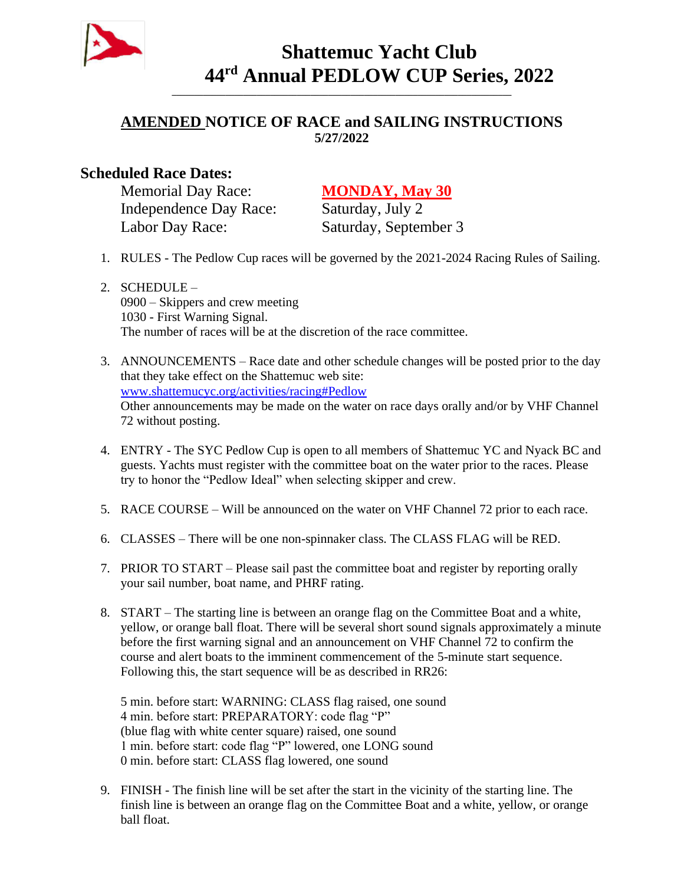

## **Shattemuc Yacht Club 44 rd Annual PEDLOW CUP Series, 2022**

## **AMENDED NOTICE OF RACE and SAILING INSTRUCTIONS 5/27/2022**

**\_\_\_\_\_\_\_\_\_\_\_\_\_\_\_\_\_\_\_\_\_\_\_\_\_\_\_\_\_\_\_\_\_\_\_\_\_\_\_\_\_\_\_\_\_\_\_\_\_\_\_\_\_\_\_\_\_\_\_\_\_\_\_\_\_\_\_\_\_\_\_\_\_\_\_\_**

## **Scheduled Race Dates:**

Memorial Day Race: **MONDAY, May 30** Independence Day Race: Saturday, July 2 Labor Day Race: Saturday, September 3

- 1. RULES The Pedlow Cup races will be governed by the 2021-2024 Racing Rules of Sailing.
- 2. SCHEDULE 0900 – Skippers and crew meeting 1030 - First Warning Signal. The number of races will be at the discretion of the race committee.

3. ANNOUNCEMENTS – Race date and other schedule changes will be posted prior to the day that they take effect on the Shattemuc web site: www.shattemucyc.org/activities/racing#Pedlow Other announcements may be made on the water on race days orally and/or by VHF Channel 72 without posting.

- 4. ENTRY The SYC Pedlow Cup is open to all members of Shattemuc YC and Nyack BC and guests. Yachts must register with the committee boat on the water prior to the races. Please try to honor the "Pedlow Ideal" when selecting skipper and crew.
- 5. RACE COURSE Will be announced on the water on VHF Channel 72 prior to each race.
- 6. CLASSES There will be one non-spinnaker class. The CLASS FLAG will be RED.
- 7. PRIOR TO START Please sail past the committee boat and register by reporting orally your sail number, boat name, and PHRF rating.
- 8. START The starting line is between an orange flag on the Committee Boat and a white, yellow, or orange ball float. There will be several short sound signals approximately a minute before the first warning signal and an announcement on VHF Channel 72 to confirm the course and alert boats to the imminent commencement of the 5-minute start sequence. Following this, the start sequence will be as described in RR26:

5 min. before start: WARNING: CLASS flag raised, one sound 4 min. before start: PREPARATORY: code flag "P" (blue flag with white center square) raised, one sound 1 min. before start: code flag "P" lowered, one LONG sound 0 min. before start: CLASS flag lowered, one sound

9. FINISH - The finish line will be set after the start in the vicinity of the starting line. The finish line is between an orange flag on the Committee Boat and a white, yellow, or orange ball float.